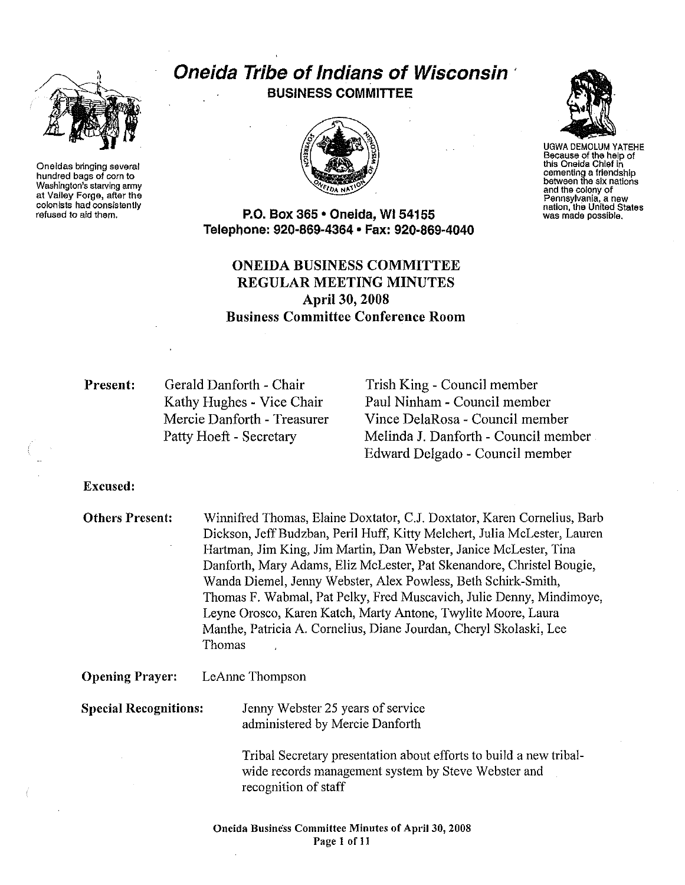

Oneidas bringing several hundred bags of com to Washington's starving army at Valley Forge, after the colonists had consistently refused to aid them.

# Oneida Tribe of Indians of Wisconsin *(Dielda Tribe of Indians of Wisconsin*



UGWA DEMOLUM YATEHE Because of the help of this Oneida Ch!ef in cementing a friendship between the six nations and the colony of<br>Pennsylvania, a new nation, the United States<br>was made possible.

P.O. Box 365 • Oneida, WI 54155 Telepnone: 920·869·4364 • Fax: 920-869-4040

# ONEIDA BUSINESS COMMITTEE REGULAR MEETING MINUTES April 30, 2008 Business Committee Conference Room

Present: Gerald Danforth - Chair Kathy Hughes - Vice Chair Mercie Danforth - Treasurer Patty Hoeft - Secretary

Trish King - Council member Paul Ninham - Council member Vince DelaRosa - Council member Melinda J. Danforth - Council member Edward Delgado - Council member

Excused:

Others Present: Winnifred Thomas, Elaine Doxtator, C.J. Doxtator, Karen Cornelius, Barb Dickson, Jeff Budzban, Peril Huff, Kitty Melchert, Julia McLester, Lauren Hartman, Jim King, Jim Martin, Dan Webster, Janice McLester, Tina Danforth, Mary Adams, Eliz McLester, Pat Skenandore, Christel Bougie, Wanda Diemel, Jenny Webster, Alex Powless, Beth Schirk-Smith, Thomas F. Wabmal, Pat Pelky, Fred Muscavich, Julie Denny, Mindimoye, Leyne Orosco, Karen Katch, Marty Antone, Twylite Moore, Laura Manthe, Patricia A. Cornelius, Diane Jourdan, Cheryl Skolaski, Lee Thomas

Opening Prayer: LeAnne Thompson

Special Recognitions: Jenny Webster 25 years of service administered by Mercie Danforth

> Tribal Secretary presentation about efforts to build a new tribalwide records management system by Steve Webster and recognition of staff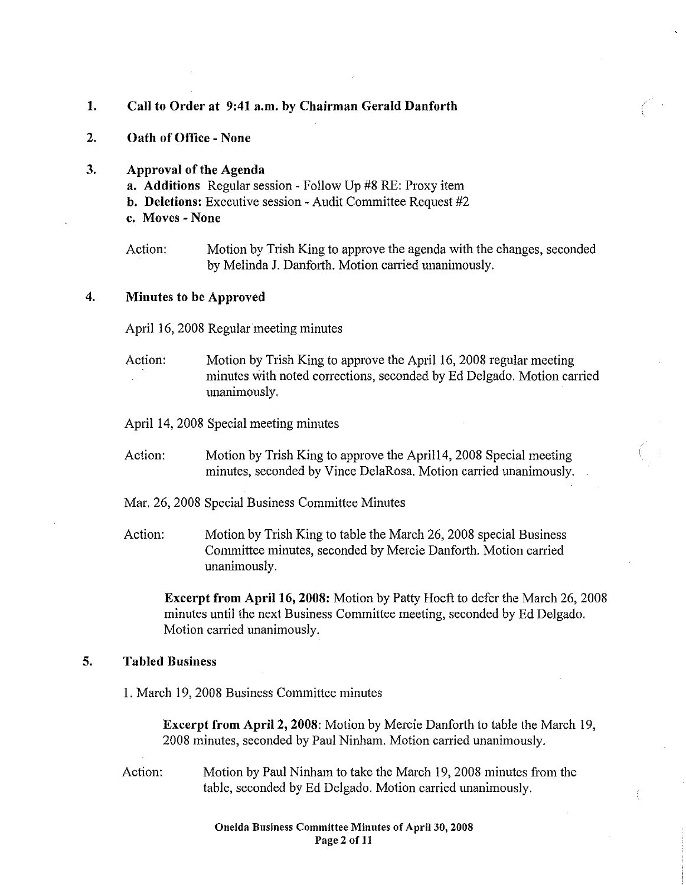### 1. Call to Order at 9:41 a.m. by Chairman Gerald Danforth

2. Oath of Office -None

# 3. Approval of the Agenda

- a. Additions Regular session- Follow Up #8 RE: Proxy item b. Deletions: Executive session- Audit Committee Request #2
- c. Moves -None

Action: Motion by Trish King to approve the agenda with the changes, seconded by Melinda J. Danforth. Motion carried unanimously.

### 4. Minutes to be Approved

April 16, 2008 Regular meeting minutes

Action: Motion by Trish King to approve the April 16, 2008 regular meeting minutes with noted corrections, seconded by Ed Delgado. Motion carried unanimously.

April 14, 2008 Special meeting minutes

- Action: Motion by Trish King to approve the April14, 2008 Special meeting minutes, seconded by Vince DelaRosa. Motion carried unanimously.
- Mar. 26, 2008 Special Business Committee Minutes
- Action: Motion by Trish King to table the March 26, 2008 special Business Committee minutes, seconded by Mercie Danforth. Motion carried unanimously.

Excerpt from Apri116, 2008: Motion by Patty Hoeft to defer the March 26, 2008 minutes until the next Business Committee meeting, seconded by Ed Delgado. Motion carried unanimously.

# 5. Tabled Business

I. March 19, 2008 Business Committee minutes

Excerpt from Apri12, 2008: Motion by Mercie Danforth to table the March 19, 2008 minutes, seconded by Paul Ninham. Motion carried unanimously.

Action: Motion by Paul Ninham to take the March 19,2008 minutes from the table, seconded by Ed Delgado. Motion carried unanimously.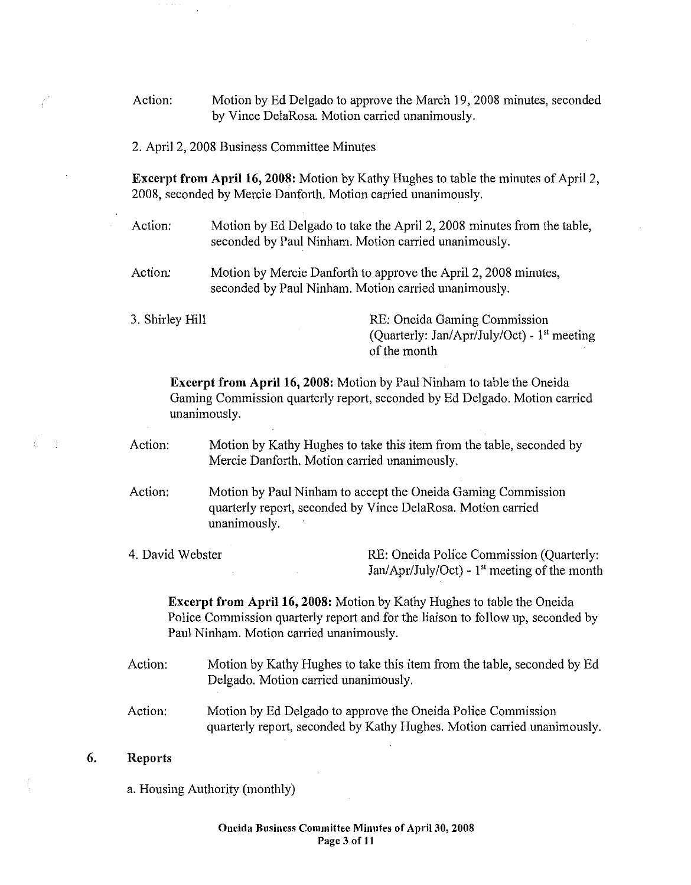Action: Motion by Ed Delgado to approve the March 19, 2008 minutes, seconded by Vince DelaRosa. Motion carried unanimously.

2. April 2, 2008 Business Committee Minutes

**Excerpt from Apri116, 2008:** Motion by Kathy Hughes to table the minutes of April 2, 2008, seconded by Mercie Danforth. Motion carried unanimously.

Action: Motion by Ed Delgado to take the April 2, 2008 minutes from the table, seconded by Paul Ninham. Motion carried unanimously.

Action: Motion by Mercie Danforth to approve the April 2, 2008 minutes, seconded by Paul Ninham. Motion carried unanimously.

3. Shirley Hill RE: Oneida Gaming Commission (Quarterly: Jan/Apr/July/Oct) -  $1<sup>st</sup>$  meeting of the month

**Excerpt from Apri116, 2008:** Motion by Paul Ninham to table the Oneida Gaming Commission quarterly report, seconded by Ed Delgado. Motion carried unanimously.

Action: Motion by Kathy Hughes to take this item from the table, seconded by Mercie Danforth. Motion carried unanimously.

- Action: Motion by Paul Ninham to accept the Oneida Gaming Commission quarterly report, seconded by Vince DelaRosa. Motion carried unanimously.
- 4. David Webster RE: Oneida Police Commission (Quarterly: Jan/Apr/July/Oct)- 1" meeting of the month

**Excerpt from Apri116, 2008:** Motion by Kathy Hughes to table the Oneida Police Commission quarterly report and for the liaison to follow up, seconded by Paul Ninham. Motion carried unanimously.

- Action: Motion by Kathy Hughes to take this item from the table, seconded by Ed Delgado. Motion carried unanimously.
- Action: Motion by Ed Delgado to approve the Oneida Police Commission quarterly report, seconded by Kathy Hughes. Motion carried unanimously.

### **6. Reports**

a. Housing Authority (monthly)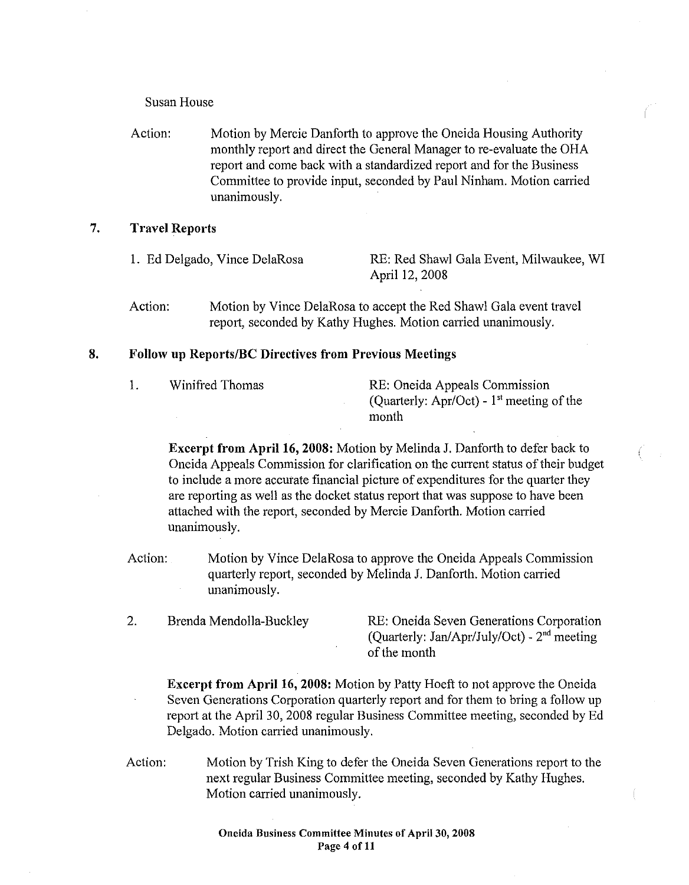### Susan House

Action: Motion by Mercie Danforth to approve the Oneida Housing Authority monthly report and direct the General Manager to re-evaluate the OHA report and come back with a standardized report and for the Business Committee to provide input, seconded by Paul Ninham. Motion carried unanimously.

# 7. Travel Reports

- 1. Ed Delgado, Vince DelaRosa RE: Red Shawl Gala Event, Milwaukee, WI April 12, 2008
- Action: Motion by Vince DelaRosa to accept the Red Shawl Gala event travel report, seconded by Kathy Hughes. Motion carried unanimously.

### 8. Follow up Reports/BC Directives from Previous Meetings

| 1. | Winifred Thomas |  |
|----|-----------------|--|
|    |                 |  |

RE: Oneida Appeals Commission (Quarterly: Apr/Oct) -  $1<sup>st</sup>$  meeting of the month

**Excerpt from April 16, 2008:** Motion by Melinda J. Danforth to defer back to Oneida Appeals Commission for clarification on the current status of their budget to include a more accurate financial picture of expenditures for the quarter they are reporting as well as the docket status report that was suppose to have been attached with the report, seconded by Mercie Danforth. Motion carried unanimously.

- Action: Motion by Vince DelaRosa to approve the Oneida Appeals Commission qumierly report, seconded by Melinda J. Danforth. Motion carried unanimously.
- 2. Brenda Mendolia-Buckley RE: Oneida Seven Generations Corporation (Quarterly: Jan/Apr/July/Oct) -  $2<sup>nd</sup>$  meeting of the month

Excerpt from Apri116, 2008: Motion by Patty Hoeft to not approve the Oneida Seven Generations Corporation quarterly report and for them to bring a follow up report at the April 30, 2008 regular Business Committee meeting, seconded by Ed Delgado. Motion carried unanimously.

Action: Motion by Trish King to defer the Oneida Seven Generations report to the next regular Business Committee meeting, seconded by Kathy Hughes. Motion carried unanimously.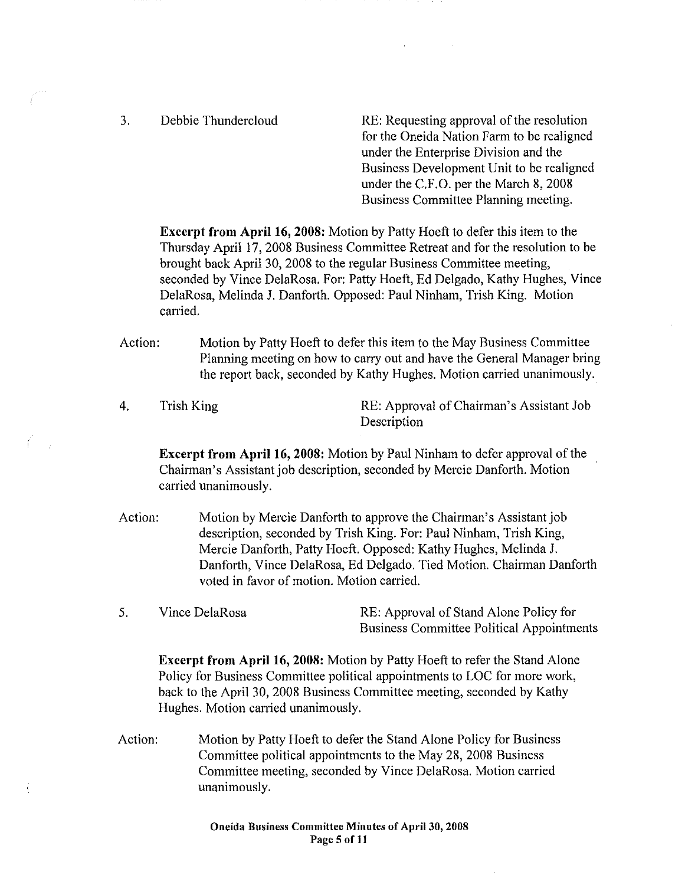3. Debbie Thundercloud RE: Requesting approval of the resolution for the Oneida Nation Farm to be realigned under the Enterprise Division and the Business Development Unit to be realigned under the C.F.O. per the March 8, 2008 Business Committee Planning meeting.

Excerpt from Apri116, 2008: Motion by Patty Hoeft to defer this item to the Thursday April 17, 2008 Business Committee Retreat and for the resolution to be brought back April 30, 2008 to the regular Business Committee meeting, seconded by Vince DelaRosa. For: Patty Hoeft, Ed Delgado, Kathy Hughes, Vince DelaRosa, Melinda J. Danforth. Opposed: Paul Ninham, Trish King. Motion carried.

Action: Motion by Patty Hoeft to defer this item to the May Business Committee Planning meeting on how to carry out and have the General Manager bring the report back, seconded by Kathy Hughes. Motion carried unanimously.

4. Trish King RE: Approval of Chairman's Assistant Job Description

Excerpt from Apri116, 2008: Motion by Paul Ninham to defer approval of the Chairman's Assistant job description, seconded by Mercie Danforth. Motion carried unanimously.

- Action: Motion by Mercie Danforth to approve the Chairman's Assistant job description, seconded by Trish King. For: Paul Ninham, Irish King, Mercie Danforth, Patty Hoeft. Opposed: Kathy Hughes, Melinda J. Danforth, Vince DelaRosa, Ed Delgado. Tied Motion. Chairman Danforth voted in favor of motion. Motion carried.
- 5. Vince DelaRosa RE: Approval of Stand Alone Policy for Business Committee Political Appointments

**Excerpt from April 16, 2008:** Motion by Patty Hoeft to refer the Stand Alone Policy for Business Committee political appointments to LOC for more work, back to the April 30, 2008 Business Committee meeting, seconded by Kathy Hughes. Motion carried unanimously.

Action: Motion by Patty Hoeft to defer the Stand Alone Policy for Business Committee political appointments to the May 28, 2008 Business Committee meeting, seconded by Vince DelaRosa. Motion carried unanimously.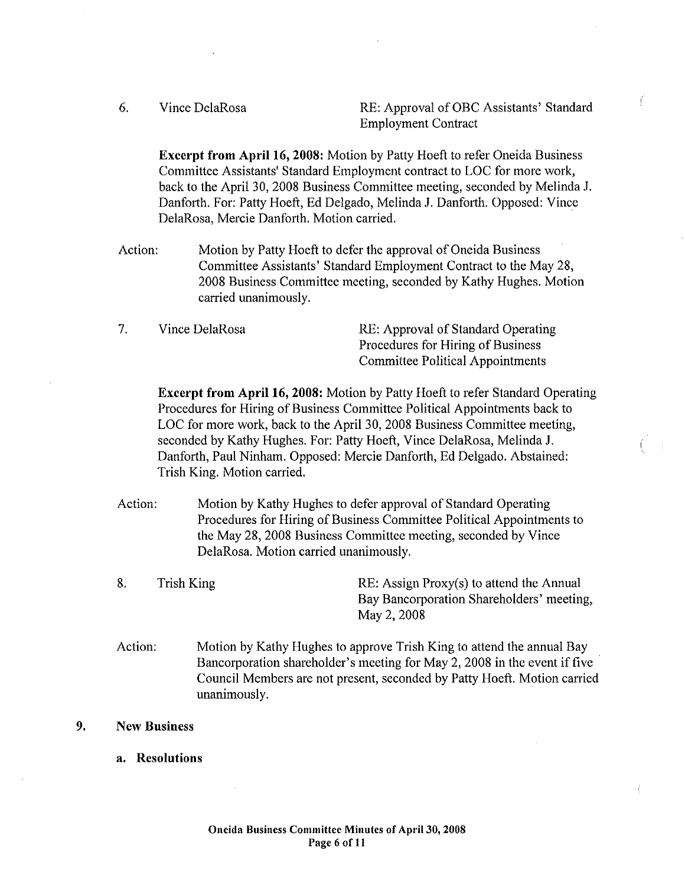6.

Vince DelaRosa **RE: Approval of OBC Assistants' Standard** Employment Contract

Excerpt from Apri116, 2008: Motion by Patty Hoeft to refer Oneida Business Committee Assistants' Standard Employment contract to LOC for more work, back to the April 30, 2008 Business Committee meeting, seconded by Melinda J. Danforth. For: Patty Hoeft, Ed Delgado, Melinda J. Danfotth. Opposed: Vince DelaRosa, Mercie Danforth. Motion carried.

- Action: Motion by Patty Hoeft to defer the approval of Oneida Business Committee Assistants' Standard Employment Contract to the May 28, 2008 Business Committee meeting, seconded by Kathy Hughes. Motion carried unanimously.
- 7. Vince DelaRosa RE: Approval of Standard Operating Procedures for Hiring of Business Committee Political Appointments

**Excerpt from April 16, 2008:** Motion by Patty Hoeft to refer Standard Operating Procedures for Hiring of Business Committee Political Appointments back to LOC for more work, back to the April 30, 2008 Business Committee meeting, seconded by Kathy Hughes. For: Patty Hoeft, Vince DelaRosa, Melinda J. Danforth, Paul Ninham. Opposed: Mercie Danforth, Ed Delgado. Abstained: Trish King. Motion carried.

- Action: Motion by Kathy Hughes to defer approval of Standard Operating Procedures for Hiring of Business Committee Political Appointments to the May 28, 2008 Business Committee meeting, seconded by Vince DelaRosa. Motion carried unanimously.
- 8. Trish King **RE:** Assign Proxy(s) to attend the Annual Bay Bancorporation Shareholders' meeting, May 2, 2008
- Action: Motion by Kathy Hughes to approve Trish King to attend the annual Bay Bancorporation shareholder's meeting for May 2, 2008 in the event if five Council Members are not present, seconded by Patty Hoeft. Motion carried unanimously.
- 9. New Business
	- a. Resolutions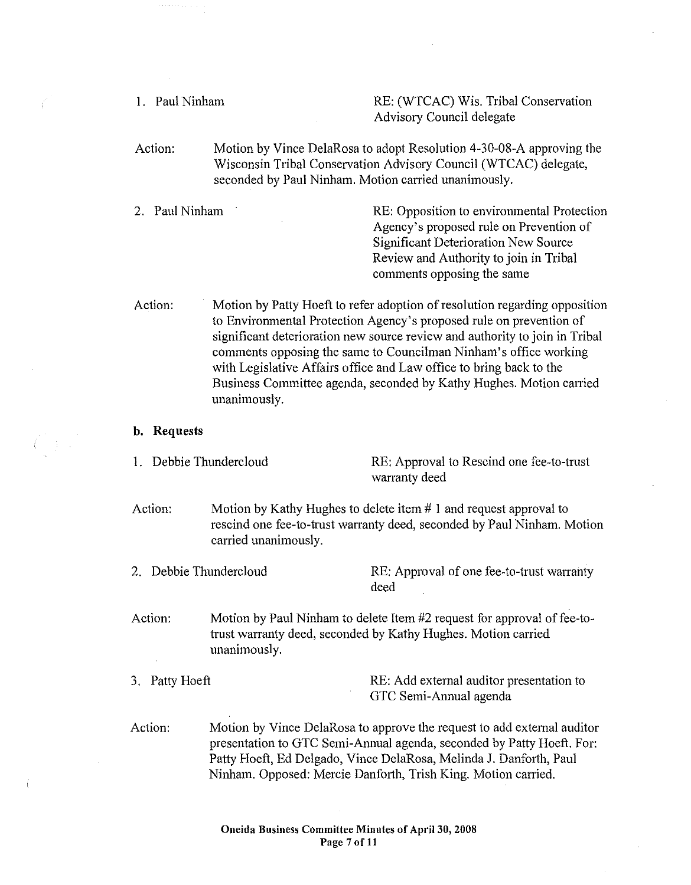| 1. Paul Ninham            |                                                                                                                                                                                                                                                                                                                                                                                                                                                                    | RE: (WTCAC) Wis. Tribal Conservation<br>Advisory Council delegate                                                                                                                                            |  |
|---------------------------|--------------------------------------------------------------------------------------------------------------------------------------------------------------------------------------------------------------------------------------------------------------------------------------------------------------------------------------------------------------------------------------------------------------------------------------------------------------------|--------------------------------------------------------------------------------------------------------------------------------------------------------------------------------------------------------------|--|
| Action:                   | Motion by Vince DelaRosa to adopt Resolution 4-30-08-A approving the<br>Wisconsin Tribal Conservation Advisory Council (WTCAC) delegate,<br>seconded by Paul Ninham. Motion carried unanimously.                                                                                                                                                                                                                                                                   |                                                                                                                                                                                                              |  |
| Paul Ninham<br>2.         |                                                                                                                                                                                                                                                                                                                                                                                                                                                                    | RE: Opposition to environmental Protection<br>Agency's proposed rule on Prevention of<br><b>Significant Deterioration New Source</b><br>Review and Authority to join in Tribal<br>comments opposing the same |  |
| Action:                   | Motion by Patty Hoeft to refer adoption of resolution regarding opposition<br>to Environmental Protection Agency's proposed rule on prevention of<br>significant deterioration new source review and authority to join in Tribal<br>comments opposing the same to Councilman Ninham's office working<br>with Legislative Affairs office and Law office to bring back to the<br>Business Committee agenda, seconded by Kathy Hughes. Motion carried<br>unanimously. |                                                                                                                                                                                                              |  |
| Requests<br>b.            |                                                                                                                                                                                                                                                                                                                                                                                                                                                                    |                                                                                                                                                                                                              |  |
| Debbie Thundercloud<br>1. |                                                                                                                                                                                                                                                                                                                                                                                                                                                                    | RE: Approval to Rescind one fee-to-trust<br>warranty deed                                                                                                                                                    |  |
| Action:                   | Motion by Kathy Hughes to delete item $# 1$ and request approval to<br>rescind one fee-to-trust warranty deed, seconded by Paul Ninham. Motion<br>carried unanimously.                                                                                                                                                                                                                                                                                             |                                                                                                                                                                                                              |  |
| 2. Debbie Thundercloud    |                                                                                                                                                                                                                                                                                                                                                                                                                                                                    | RE: Approval of one fee-to-trust warranty<br>deed                                                                                                                                                            |  |
| Action:                   | Motion by Paul Ninham to delete Item #2 request for approval of fee-to-<br>trust warranty deed, seconded by Kathy Hughes. Motion carried<br>unanimously.                                                                                                                                                                                                                                                                                                           |                                                                                                                                                                                                              |  |
| Patty Hoeft<br>3.         |                                                                                                                                                                                                                                                                                                                                                                                                                                                                    | RE: Add external auditor presentation to<br>GTC Semi-Annual agenda                                                                                                                                           |  |
| Action:                   | Motion by Vince DelaRosa to approve the request to add external auditor<br>presentation to GTC Semi-Annual agenda, seconded by Patty Hoeft. For:<br>Patty Hoeft, Ed Delgado, Vince DelaRosa, Melinda J. Danforth, Paul<br>Ninham. Opposed: Mercie Danforth, Trish King. Motion carried.                                                                                                                                                                            |                                                                                                                                                                                                              |  |

 $\bar{z}$ 

 $\bar{\gamma}$ 

 $\int$ 

 $\int_{-\infty}^{\infty} \frac{1}{2} \, \frac{d\mu}{\mu} \, d\mu \, d\mu$ 

 $\bar{z}$ 

 $\langle$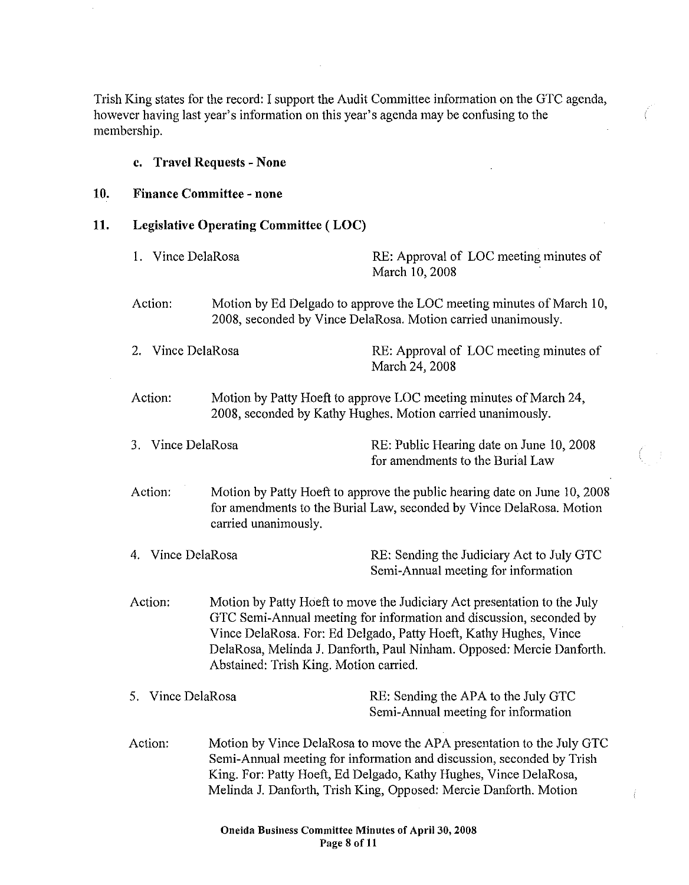Trish King states for the record: I support the Audit Committee information on the GTC agenda, however having last year's information on this year's agenda may be confusing to the membership.

# c. Travel Requests- None 10. Finance Committee- none 11. Legislative Operating Committee ( LOC) 1. Vince DelaRosa RE: Approval of LOC meeting minutes of March 10,2008 Action: Motion by Ed Delgado to approve the LOC meeting minutes of March 10, 2008, seconded by Vince DelaRosa. Motion carried unanimously. 2. Vince DelaRosa RE: Approval of LOC meeting minutes of March 24, 2008 Action: Motion by Patty Hoeft to approve LOC meeting minutes of March 24, 2008, seconded by Kathy Hughes. Motion carried unanimously. 3. Vince DelaRosa RE: Public Hearing date on June 10, 2008 for amendments to the Burial Law Action: Motion by Patty Hoeft to approve the public hearing date on June 10, 2008 for amendments to the Burial Law, seconded by Vince DelaRosa. Motion carried unanimously. 4. Vince DelaRosa RE: Sending the Judiciaty Act to July GTC Semi-Annual meeting for information Action: Motion by Patty Hoeft to move the Judiciary Act presentation to the July

GTC Semi-Annual meeting for information and discussion, seconded by Vince DelaRosa. For: Ed Delgado, Patty Hoeft, Kathy Hughes, Vince DelaRosa, Melinda J. Danforth, Paul Ninham. Opposed: Mercie Danforth. Abstained: Trish King. Motion carried.

# 5. Vince DelaRosa **RE:** Sending the APA to the July GTC Semi-Annual meeting for information

Action: Motion by Vince DelaRosa to move the APA presentation to the July GTC Semi-Annual meeting for information and discussion, seconded by Trish King. For: Patty Hoeft, Ed Delgado, Kathy Hughes, Vince DelaRosa, Melinda J. Danforth, Trish King, Opposed: Mercie Danforth. Motion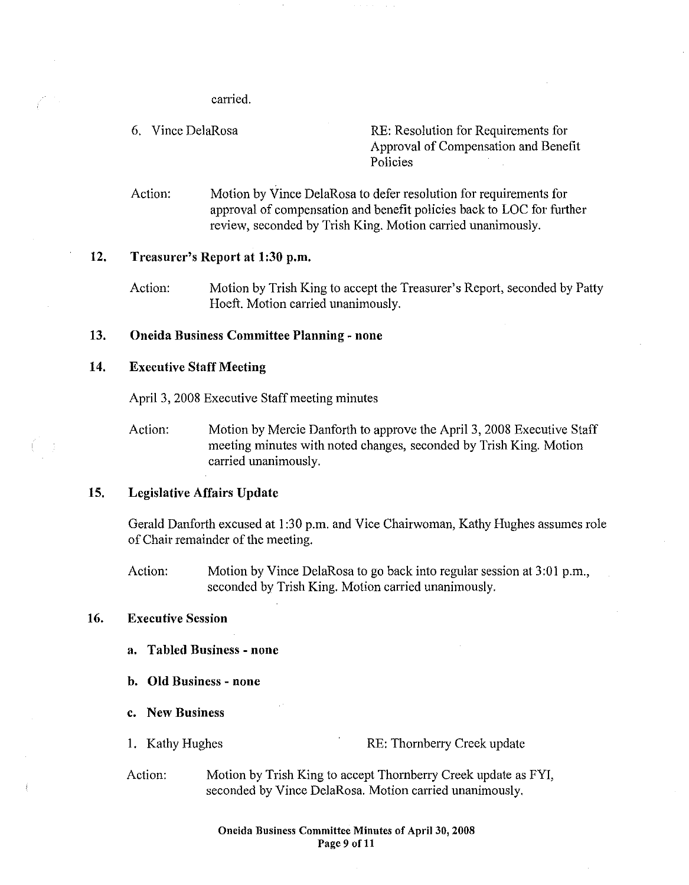carried.

6. Vince DelaRosa RE: Resolution for Requirements for Approval of Compensation and Benefit Policies

Action: Motion by Vince DelaRosa to defer resolution for requirements for approval of compensation and benefit policies back to LOC for further review, seconded by Trish King. Motion carried unanimously.

#### 12. Treasurer's Report at 1:30 p.m.

Action: Motion by Trish King to accept the Treasurer's Report, seconded by Patty Hoeft. Motion carried unanimously.

### 13. Oneida Business Committee Planning- none

### 14. Executive Staff Meeting

April 3, 2008 Executive Staff meeting minutes

Action: Motion by Mercie Danforth to approve the April 3, 2008 Executive Staff meeting minutes with noted changes, seconded by Trish King. Motion carried unanimously.

### 15. Legislative Affairs Update

Gerald Danforth excused at 1 :30 p.m. and Vice Chairwoman, Kathy Hughes assumes role of Chair remainder of the meeting.

Action: Motion by Vince DelaRosa to go back into regular session at 3:01 p.m., seconded by Trish King. Motion carried unanimously.

### 16. Executive Session

- a. Tabled Business none
- b. **Old** Business none
- c. New Business
- 

1. Kathy Hughes RE: Thornberry Creek update

Action: Motion by Trish King to accept Thornberry Creek update as FYI, seconded by Vince DelaRosa. Motion carried unanimously.

> Oneida Business Committee Minutes of Apri130, 2008 Page 9 of 11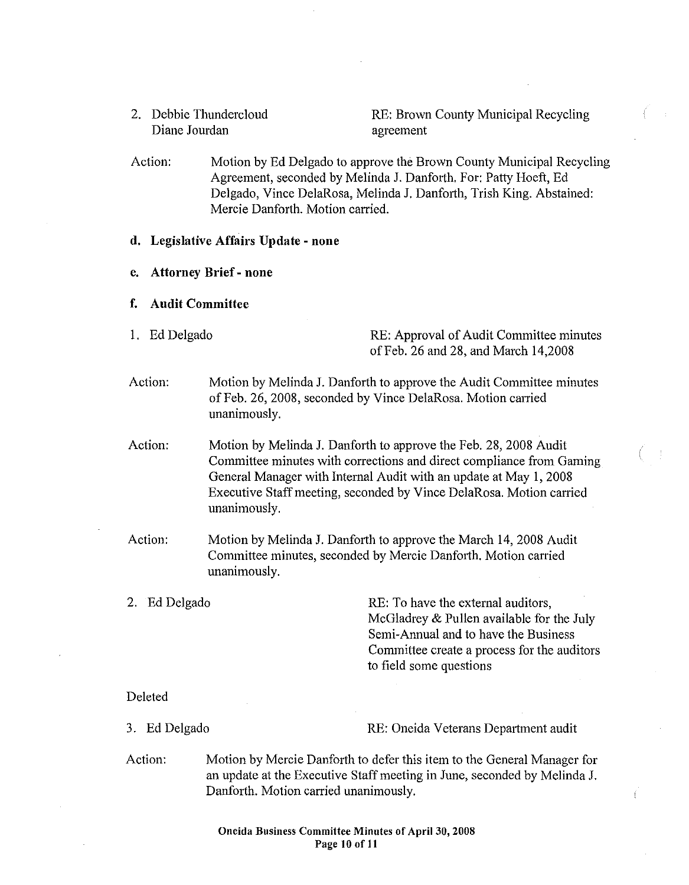2. Debbie Thundercloud Diane Jourdan

RE: Brown County Municipal Recycling agreement

Action: Motion by Ed Delgado to approve the Brown County Municipal Recycling Agreement, seconded by Melinda J. Danforth. For: Patty Hoeft, Ed Delgado, Vince DelaRosa, Melinda J. Danforth, Trish King. Abstained: Mercie Danforth. Motion carried.

#### d. Legislative Affairs Update - none

- e. Attorney Brief- none
- f. Audit Committee
- 

1. Ed Delgado RE: Approval of Audit Committee minutes of Feb. 26 and 28, and March 14,2008

Action: Motion by Melinda J. Danforth to approve the Audit Committee minutes of Feb. 26, 2008, seconded by Vince DelaRosa. Motion carried unanimously.

Action: Motion by Melinda J. Danforth to approve the Feb. 28, 2008 Audit Committee minutes with corrections and direct compliance from Gaming General Manager with Internal Audit with an update at May 1, 2008 Executive Staff meeting, seconded by Vince DelaRosa. Motion carried unanimously.

Action: Motion by Melinda J. Danforth to approve the March 14, 2008 Audit Committee minutes, seconded by Mercie Danforth. Motion carried unanimously.

2. Ed Delgado RE: To have the external auditors, McGiadrey & Pullen available for the July Semi-Annual and to have the Business Committee create a process for the auditors to field some questions

### Deleted

3. Ed Delgado RE: Oneida Veterans Department audit

Action: Motion by Mercie Danforth to defer this item to the General Manager for an update at the Executive Staff meeting in June, seconded by Melinda J. Danforth. Motion carried unanimously.